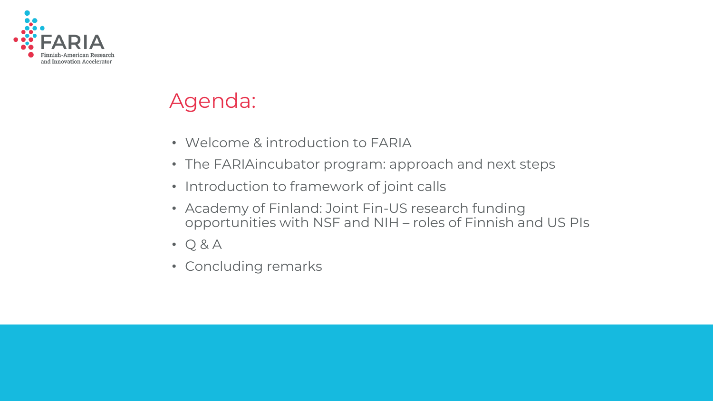

### Agenda:

- Welcome & introduction to FARIA
- The FARIAincubator program: approach and next steps
- Introduction to framework of joint calls
- Academy of Finland: Joint Fin-US research funding opportunities with NSF and NIH – roles of Finnish and US PIs
- $\bullet$  Q & A
- Concluding remarks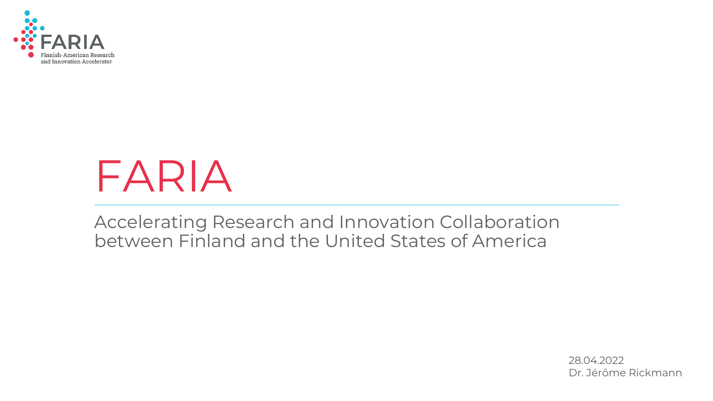

# FARIA

Accelerating Research and Innovation Collaboration between Finland and the United States of America

> 28.04.2022 Dr. Jérôme Rickmann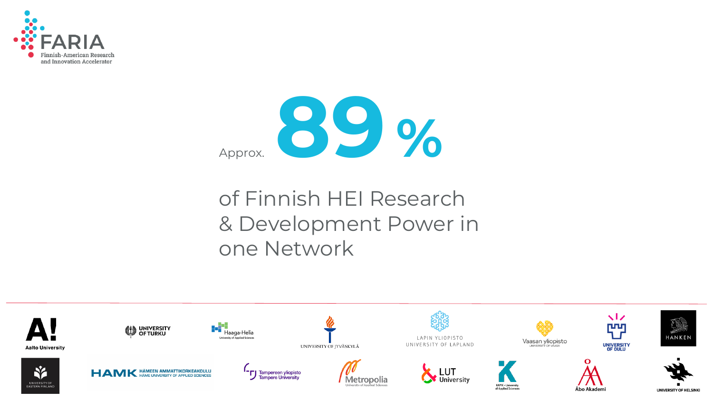



### of Finnish HEI Research & Development Power in one Network

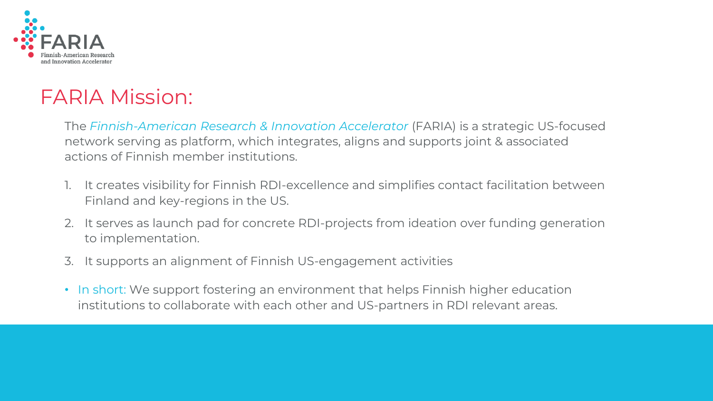

### FARIA Mission:

The *Finnish-American Research & Innovation Accelerator* (FARIA) is a strategic US-focused network serving as platform, which integrates, aligns and supports joint & associated actions of Finnish member institutions.

- 1. It creates visibility for Finnish RDI-excellence and simplifies contact facilitation between Finland and key-regions in the US.
- 2. It serves as launch pad for concrete RDI-projects from ideation over funding generation to implementation.
- 3. It supports an alignment of Finnish US-engagement activities
- In short: We support fostering an environment that helps Finnish higher education institutions to collaborate with each other and US-partners in RDI relevant areas.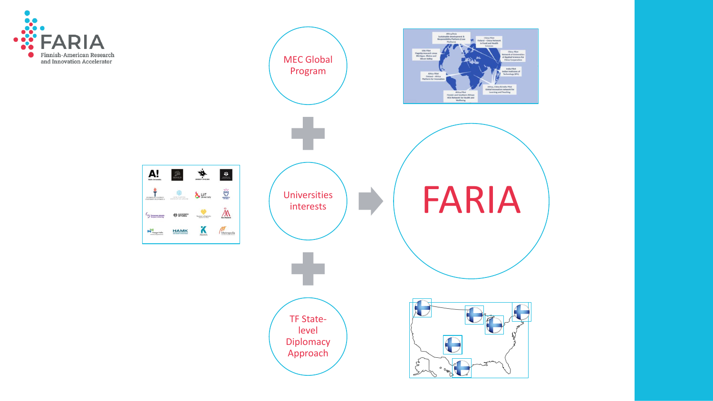

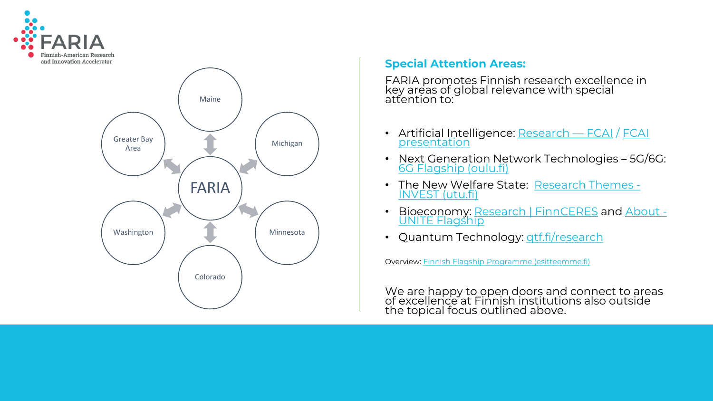



#### **Special Attention Areas:**

FARIA promotes Finnish research excellence in key areas of global relevance with special attention to:

- [Artificial Intelligence: Research](https://drive.google.com/drive/folders/1NYnHz6A53BJkS6unie3xyjZLKj25yjY2)  FCAI / FCAI presentation
- Next Generation Network Technologies 5G/6G: [6G Flagship \(oulu.fi\)](https://www.oulu.fi/6gflagship/)
- [The New Welfare State: Research Themes -](https://invest.utu.fi/research-themes/) INVEST (utu.fi)
- [Bioeconomy: Research | FinnCERES](https://uniteflagship.fi/about/) and About -UNITE Flagship
- Quantum Technology: **gtf.fi/research**

Overview: [Finnish Flagship Programme](https://www.esitteemme.fi/flagships/WebView/) (esitteemme.fi)

We are happy to open doors and connect to areas of excellence at Finnish institutions also outside the topical focus outlined above.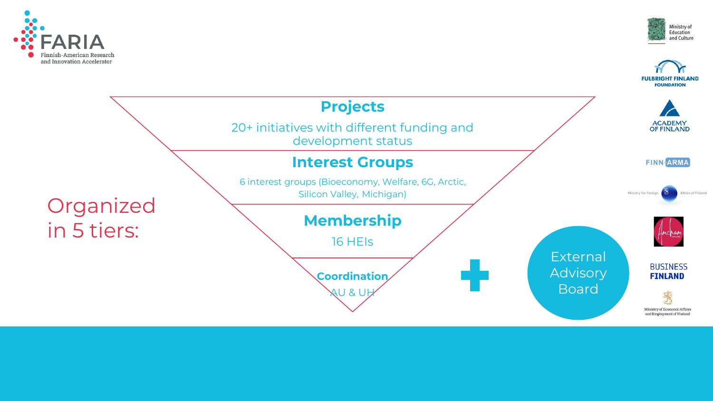



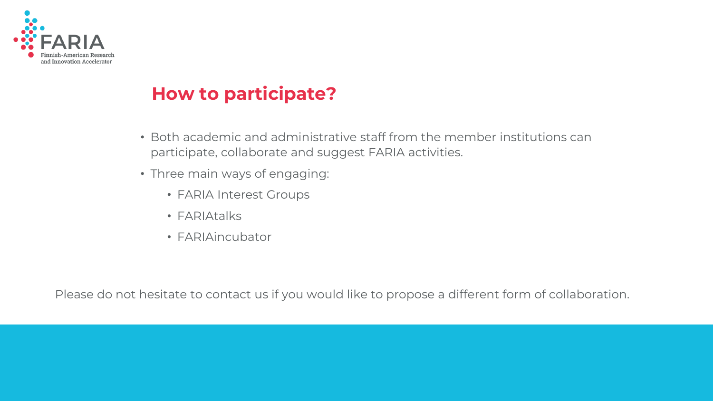

### **How to participate?**

- Both academic and administrative staff from the member institutions can participate, collaborate and suggest FARIA activities.
- Three main ways of engaging:
	- FARIA Interest Groups
	- FARIAtalks
	- FARIAincubator

Please do not hesitate to contact us if you would like to propose a different form of collaboration.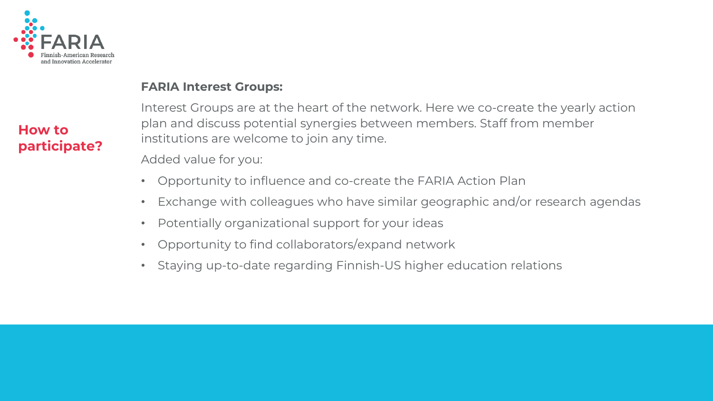

#### **FARIA Interest Groups:**

Interest Groups are at the heart of the network. Here we co-create the yearly action plan and discuss potential synergies between members. Staff from member institutions are welcome to join any time.

Added value for you:

- Opportunity to influence and co-create the FARIA Action Plan
- Exchange with colleagues who have similar geographic and/or research agendas
- Potentially organizational support for your ideas
- Opportunity to find collaborators/expand network
- Staying up-to-date regarding Finnish-US higher education relations

#### **How to participate?**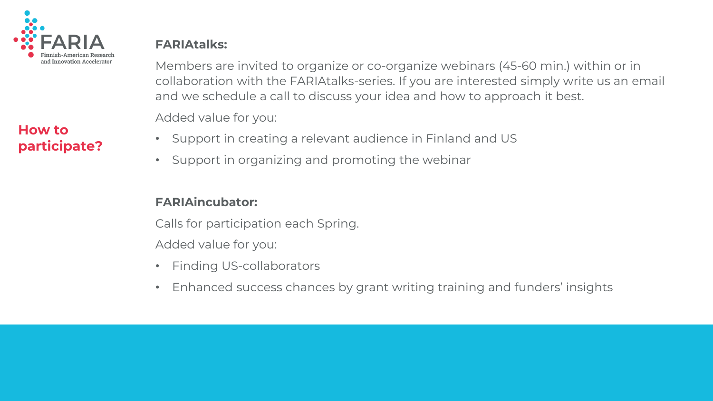

#### **How to participate?**

#### **FARIAtalks:**

Members are invited to organize or co-organize webinars (45-60 min.) within or in collaboration with the FARIAtalks-series. If you are interested simply write us an email and we schedule a call to discuss your idea and how to approach it best.

Added value for you:

- Support in creating a relevant audience in Finland and US
- Support in organizing and promoting the webinar

#### **FARIAincubator:**

Calls for participation each Spring.

Added value for you:

- Finding US-collaborators
- Enhanced success chances by grant writing training and funders' insights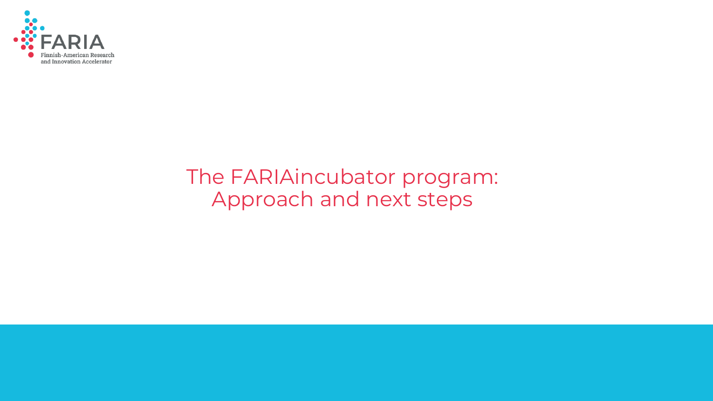

### The FARIAincubator program: Approach and next steps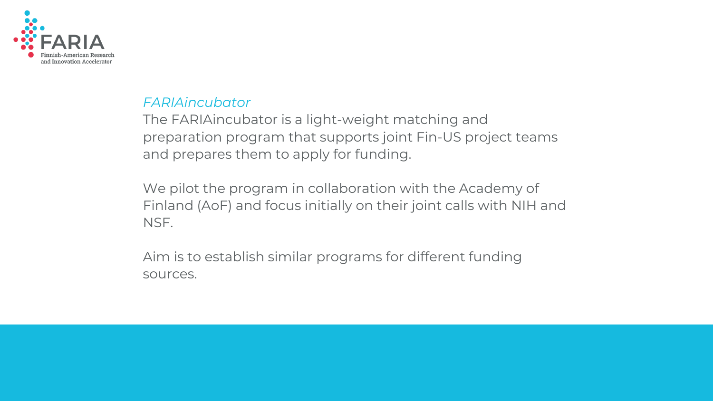

#### *FARIAincubator*

The FARIAincubator is a light-weight matching and preparation program that supports joint Fin-US project teams and prepares them to apply for funding.

We pilot the program in collaboration with the Academy of Finland (AoF) and focus initially on their joint calls with NIH and NSF.

Aim is to establish similar programs for different funding sources.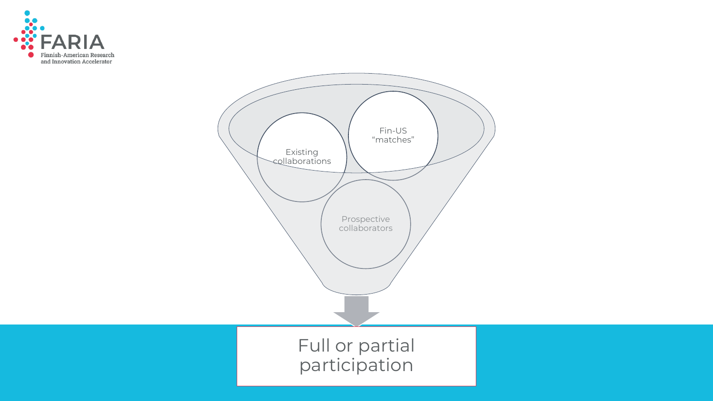

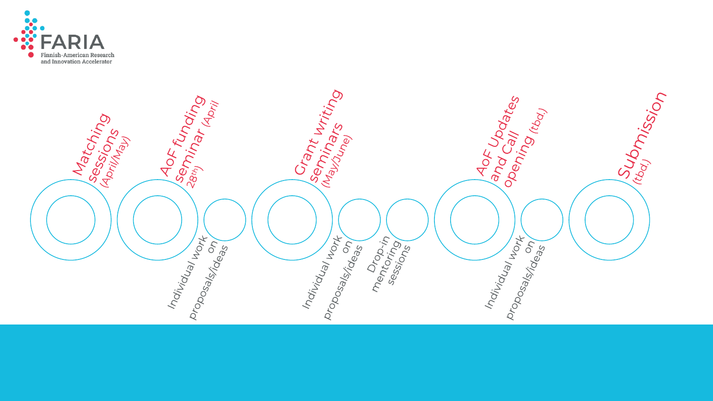

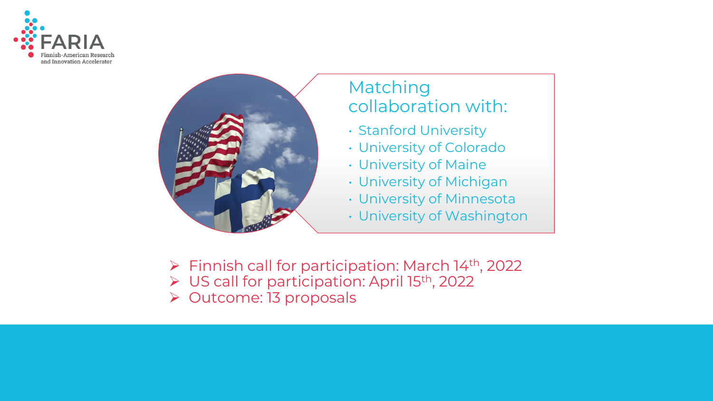



#### Matching collaboration with:

- Stanford University
- University of Colorado
- University of Maine
- University of Michigan
- University of Minnesota
- University of Washington
- ➢ Finnish call for participation: March 14th, 2022
- ➢ US call for participation: April 15th, 2022
- ➢ Outcome: 13 proposals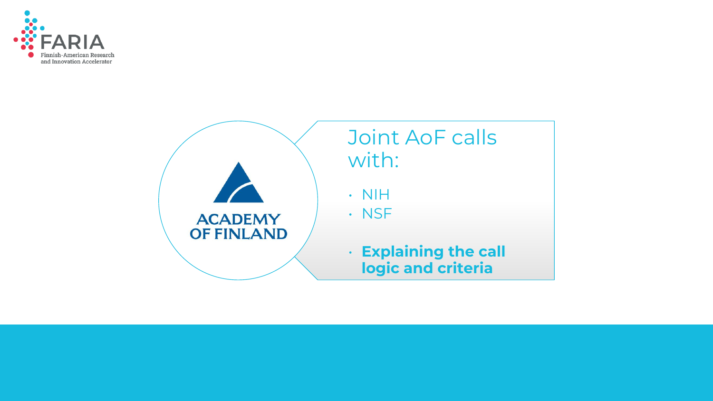

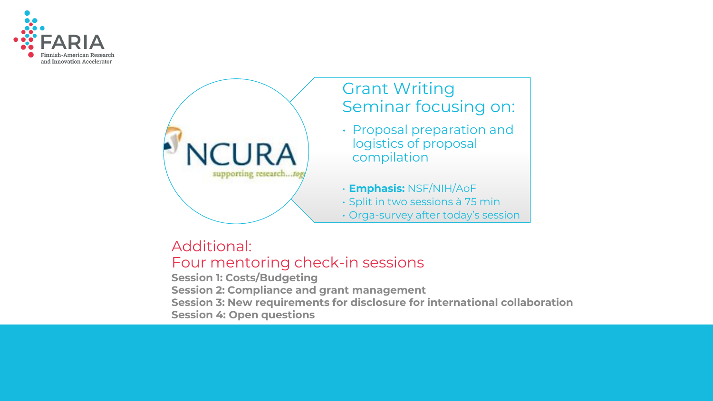



#### Additional: Four mentoring check-in sessions

**Session 1: Costs/Budgeting Session 2: Compliance and grant management Session 3: New requirements for disclosure for international collaboration Session 4: Open questions**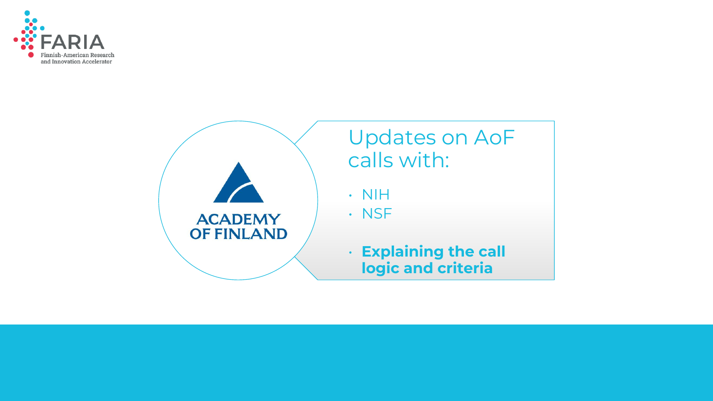